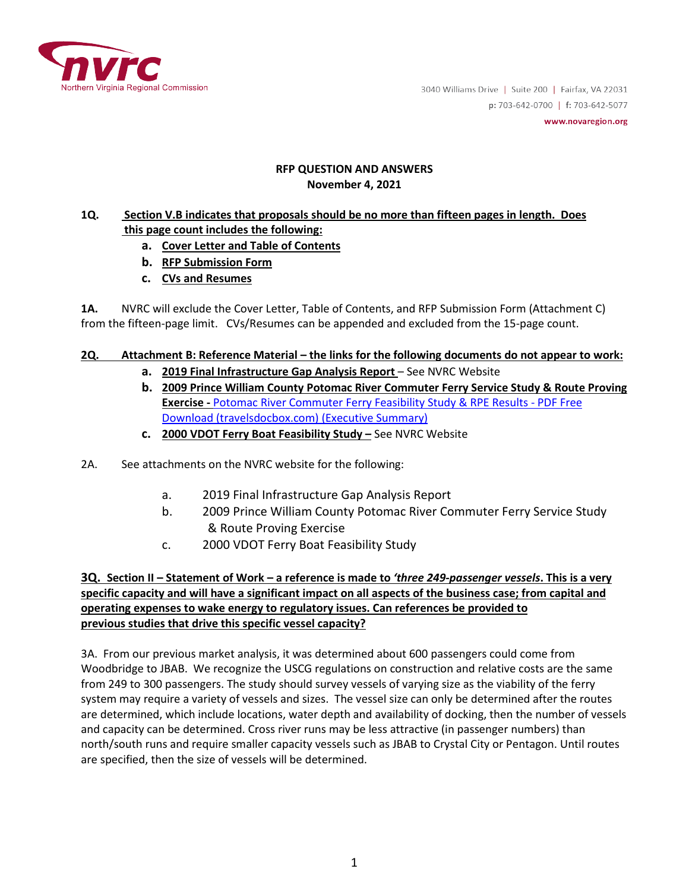

3040 Williams Drive | Suite 200 | Fairfax, VA 22031 p:703-642-0700 | f:703-642-5077 www.novaregion.org

#### **RFP QUESTION AND ANSWERS November 4, 2021**

### **1Q. Section V.B indicates that proposals should be no more than fifteen pages in length. Does this page count includes the following:**

- **a. Cover Letter and Table of Contents**
- **b. RFP Submission Form**
- **c. CVs and Resumes**

**1A.** NVRC will exclude the Cover Letter, Table of Contents, and RFP Submission Form (Attachment C) from the fifteen-page limit. CVs/Resumes can be appended and excluded from the 15-page count.

# **2Q. Attachment B: Reference Material – the links for the following documents do not appear to work:**

- **a. 2019 Final Infrastructure Gap Analysis Report**  See NVRC Website
- **b. 2009 Prince William County Potomac River Commuter Ferry Service Study & Route Proving Exercise -** [Potomac River Commuter Ferry Feasibility Study & RPE Results -](https://travelsdocbox.com/Air_Travel/88768894-Potomac-river-commuter-ferry-feasibility-study-rpe-results.html) PDF Free [Download \(travelsdocbox.com\)](https://travelsdocbox.com/Air_Travel/88768894-Potomac-river-commuter-ferry-feasibility-study-rpe-results.html) (Executive Summary)
- **c. 2000 VDOT Ferry Boat Feasibility Study –** See NVRC Website
- 2A. See attachments on the NVRC website for the following:
	- a. 2019 Final Infrastructure Gap Analysis Report
	- b. 2009 Prince William County Potomac River Commuter Ferry Service Study & Route Proving Exercise
	- c. 2000 VDOT Ferry Boat Feasibility Study

### **3Q. Section II – Statement of Work – a reference is made to** *'three 249-passenger vessels***. This is a very specific capacity and will have a significant impact on all aspects of the business case; from capital and operating expenses to wake energy to regulatory issues. Can references be provided to previous studies that drive this specific vessel capacity?**

3A. From our previous market analysis, it was determined about 600 passengers could come from Woodbridge to JBAB. We recognize the USCG regulations on construction and relative costs are the same from 249 to 300 passengers. The study should survey vessels of varying size as the viability of the ferry system may require a variety of vessels and sizes. The vessel size can only be determined after the routes are determined, which include locations, water depth and availability of docking, then the number of vessels and capacity can be determined. Cross river runs may be less attractive (in passenger numbers) than north/south runs and require smaller capacity vessels such as JBAB to Crystal City or Pentagon. Until routes are specified, then the size of vessels will be determined.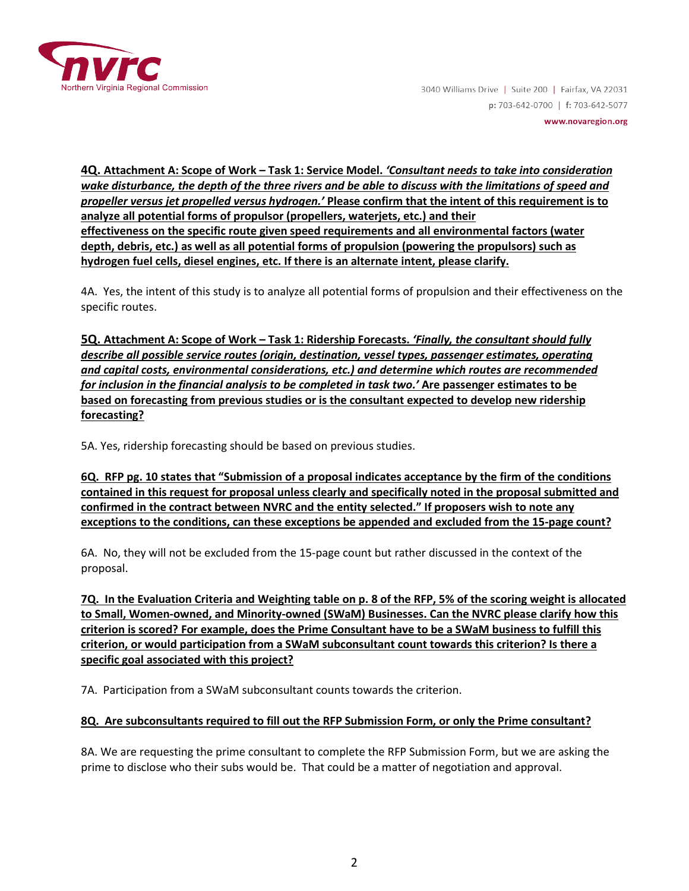

**4Q. Attachment A: Scope of Work – Task 1: Service Model.** *'Consultant needs to take into consideration wake disturbance, the depth of the three rivers and be able to discuss with the limitations of speed and propeller versus jet propelled versus hydrogen.'* **Please confirm that the intent of this requirement is to analyze all potential forms of propulsor (propellers, waterjets, etc.) and their effectiveness on the specific route given speed requirements and all environmental factors (water depth, debris, etc.) as well as all potential forms of propulsion (powering the propulsors) such as hydrogen fuel cells, diesel engines, etc. If there is an alternate intent, please clarify.**

4A. Yes, the intent of this study is to analyze all potential forms of propulsion and their effectiveness on the specific routes.

**5Q. Attachment A: Scope of Work – Task 1: Ridership Forecasts.** *'Finally, the consultant should fully describe all possible service routes (origin, destination, vessel types, passenger estimates, operating and capital costs, environmental considerations, etc.) and determine which routes are recommended for inclusion in the financial analysis to be completed in task two.'* **Are passenger estimates to be based on forecasting from previous studies or is the consultant expected to develop new ridership forecasting?**

5A. Yes, ridership forecasting should be based on previous studies.

**6Q. RFP pg. 10 states that "Submission of a proposal indicates acceptance by the firm of the conditions contained in this request for proposal unless clearly and specifically noted in the proposal submitted and confirmed in the contract between NVRC and the entity selected." If proposers wish to note any exceptions to the conditions, can these exceptions be appended and excluded from the 15-page count?**

6A. No, they will not be excluded from the 15-page count but rather discussed in the context of the proposal.

**7Q. In the Evaluation Criteria and Weighting table on p. 8 of the RFP, 5% of the scoring weight is allocated to Small, Women-owned, and Minority-owned (SWaM) Businesses. Can the NVRC please clarify how this criterion is scored? For example, does the Prime Consultant have to be a SWaM business to fulfill this criterion, or would participation from a SWaM subconsultant count towards this criterion? Is there a specific goal associated with this project?**

7A. Participation from a SWaM subconsultant counts towards the criterion.

### **8Q. Are subconsultants required to fill out the RFP Submission Form, or only the Prime consultant?**

8A. We are requesting the prime consultant to complete the RFP Submission Form, but we are asking the prime to disclose who their subs would be. That could be a matter of negotiation and approval.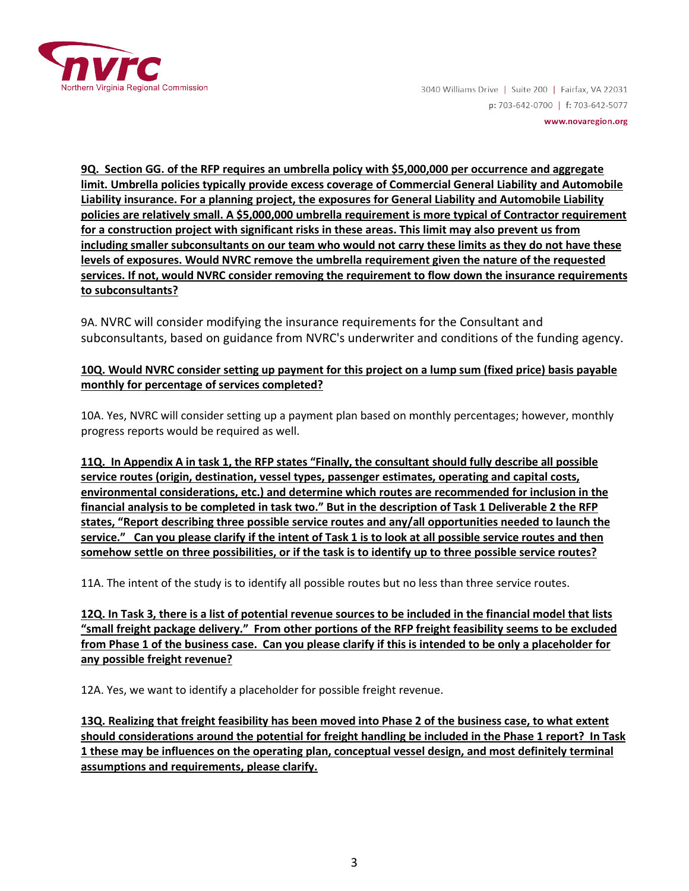

3040 Williams Drive | Suite 200 | Fairfax, VA 22031 p: 703-642-0700 | f: 703-642-5077 www.novaregion.org

**9Q. Section GG. of the RFP requires an umbrella policy with \$5,000,000 per occurrence and aggregate limit. Umbrella policies typically provide excess coverage of Commercial General Liability and Automobile Liability insurance. For a planning project, the exposures for General Liability and Automobile Liability policies are relatively small. A \$5,000,000 umbrella requirement is more typical of Contractor requirement for a construction project with significant risks in these areas. This limit may also prevent us from including smaller subconsultants on our team who would not carry these limits as they do not have these levels of exposures. Would NVRC remove the umbrella requirement given the nature of the requested services. If not, would NVRC consider removing the requirement to flow down the insurance requirements to subconsultants?**

9A. NVRC will consider modifying the insurance requirements for the Consultant and subconsultants, based on guidance from NVRC's underwriter and conditions of the funding agency.

## **10Q. Would NVRC consider setting up payment for this project on a lump sum (fixed price) basis payable monthly for percentage of services completed?**

10A. Yes, NVRC will consider setting up a payment plan based on monthly percentages; however, monthly progress reports would be required as well.

**11Q. In Appendix A in task 1, the RFP states "Finally, the consultant should fully describe all possible service routes (origin, destination, vessel types, passenger estimates, operating and capital costs, environmental considerations, etc.) and determine which routes are recommended for inclusion in the financial analysis to be completed in task two." But in the description of Task 1 Deliverable 2 the RFP states, "Report describing three possible service routes and any/all opportunities needed to launch the service." Can you please clarify if the intent of Task 1 is to look at all possible service routes and then somehow settle on three possibilities, or if the task is to identify up to three possible service routes?**

11A. The intent of the study is to identify all possible routes but no less than three service routes.

**12Q. In Task 3, there is a list of potential revenue sources to be included in the financial model that lists "small freight package delivery." From other portions of the RFP freight feasibility seems to be excluded from Phase 1 of the business case. Can you please clarify if this is intended to be only a placeholder for any possible freight revenue?**

12A. Yes, we want to identify a placeholder for possible freight revenue.

**13Q. Realizing that freight feasibility has been moved into Phase 2 of the business case, to what extent should considerations around the potential for freight handling be included in the Phase 1 report? In Task 1 these may be influences on the operating plan, conceptual vessel design, and most definitely terminal assumptions and requirements, please clarify.**